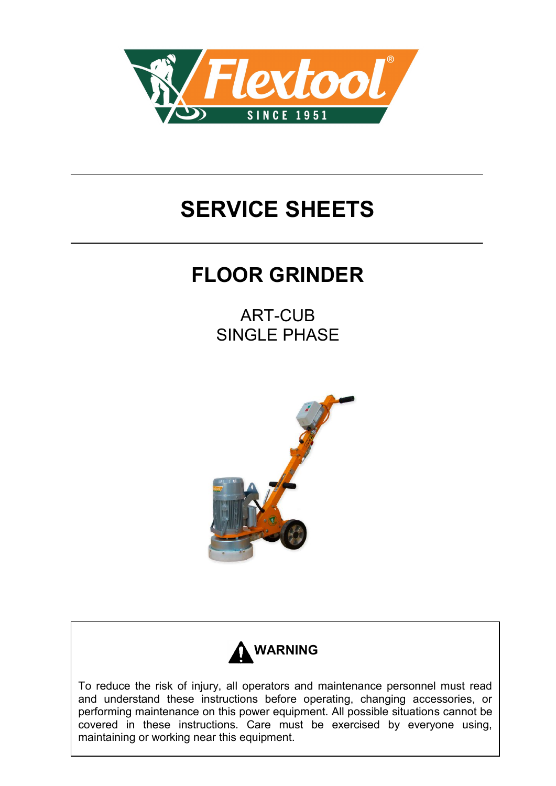

## **SERVICE SHEETS**

## **FLOOR GRINDER**

ART-CUB SINGLE PHASE





To reduce the risk of injury, all operators and maintenance personnel must read and understand these instructions before operating, changing accessories, or performing maintenance on this power equipment. All possible situations cannot be covered in these instructions. Care must be exercised by everyone using, maintaining or working near this equipment.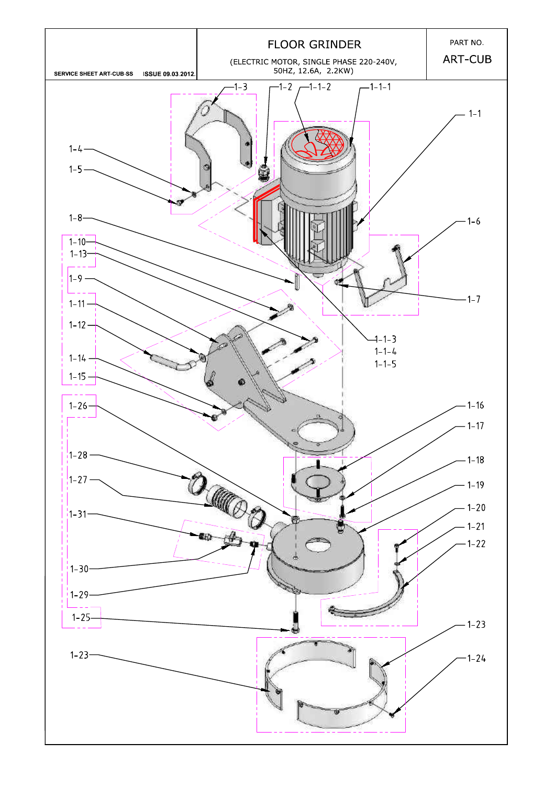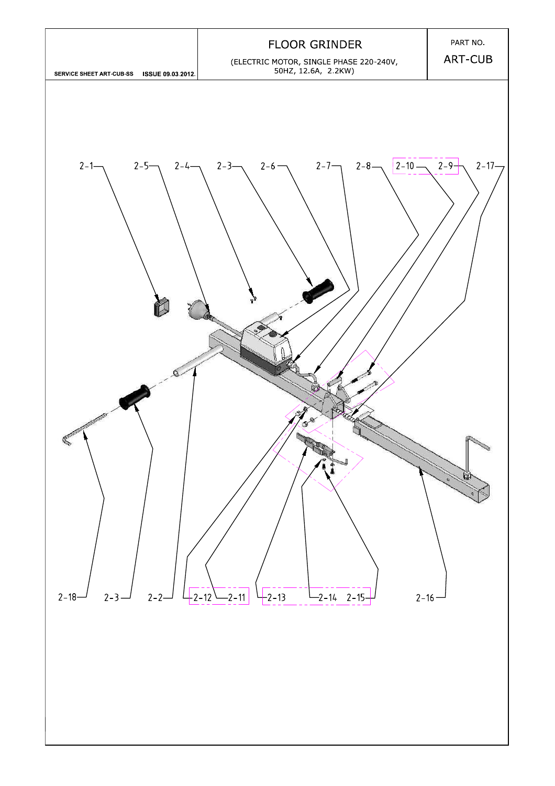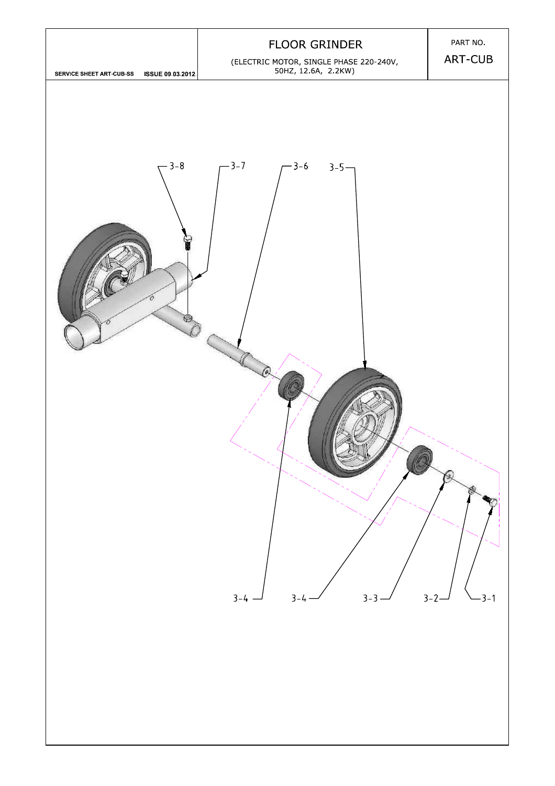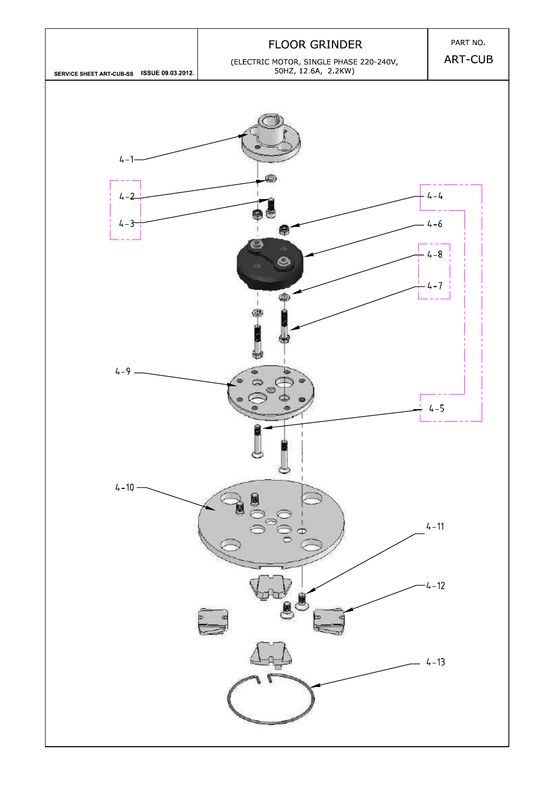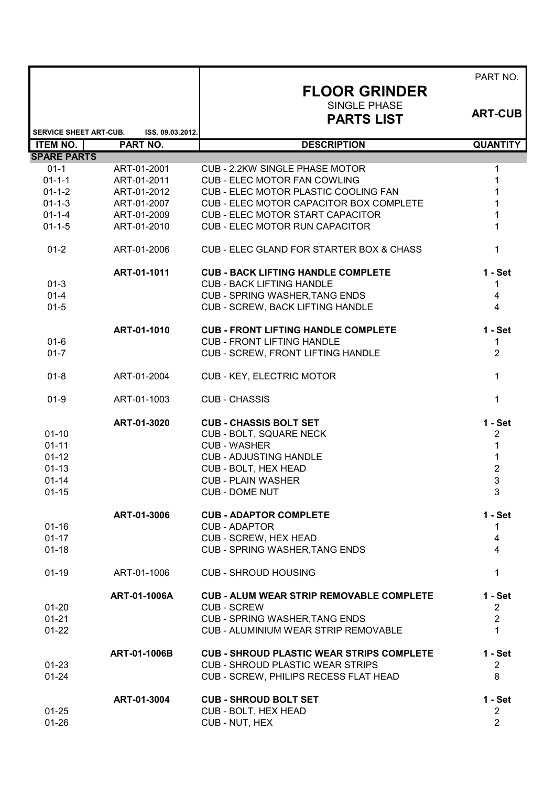|                                                  |                              | <b>FLOOR GRINDER</b><br><b>SINGLE PHASE</b><br><b>PARTS LIST</b> | PART NO.<br><b>ART-CUB</b>   |
|--------------------------------------------------|------------------------------|------------------------------------------------------------------|------------------------------|
|                                                  |                              |                                                                  |                              |
| <b>SERVICE SHEET ART-CUB.</b><br><b>ITEM NO.</b> | ISS. 09.03.2012.<br>PART NO. | <b>DESCRIPTION</b>                                               | <b>QUANTITY</b>              |
| <b>SPARE PARTS</b>                               |                              |                                                                  |                              |
| $01-1$                                           | ART-01-2001                  | CUB - 2.2KW SINGLE PHASE MOTOR                                   | 1                            |
| $01 - 1 - 1$                                     | ART-01-2011                  | <b>CUB - ELEC MOTOR FAN COWLING</b>                              | 1                            |
| $01 - 1 - 2$                                     | ART-01-2012                  | CUB - ELEC MOTOR PLASTIC COOLING FAN                             |                              |
| $01 - 1 - 3$                                     | ART-01-2007                  | CUB - ELEC MOTOR CAPACITOR BOX COMPLETE                          |                              |
| $01 - 1 - 4$                                     | ART-01-2009                  | <b>CUB - ELEC MOTOR START CAPACITOR</b>                          | 1                            |
| $01 - 1 - 5$                                     | ART-01-2010                  | <b>CUB - ELEC MOTOR RUN CAPACITOR</b>                            | 1                            |
| $01 - 2$                                         | ART-01-2006                  | CUB - ELEC GLAND FOR STARTER BOX & CHASS                         | 1                            |
|                                                  | ART-01-1011                  | <b>CUB - BACK LIFTING HANDLE COMPLETE</b>                        | $1 - Set$                    |
| $01-3$                                           |                              | <b>CUB - BACK LIFTING HANDLE</b>                                 | 1                            |
| $01 - 4$                                         |                              | <b>CUB - SPRING WASHER, TANG ENDS</b>                            | 4                            |
| $01 - 5$                                         |                              | <b>CUB - SCREW, BACK LIFTING HANDLE</b>                          | $\overline{4}$               |
|                                                  | ART-01-1010                  | <b>CUB - FRONT LIFTING HANDLE COMPLETE</b>                       | $1 - Set$                    |
| $01 - 6$                                         |                              | <b>CUB - FRONT LIFTING HANDLE</b>                                | 1                            |
| $01 - 7$                                         |                              | <b>CUB - SCREW, FRONT LIFTING HANDLE</b>                         | $\overline{2}$               |
| $01 - 8$                                         | ART-01-2004                  | CUB - KEY, ELECTRIC MOTOR                                        | 1                            |
| $01 - 9$                                         | ART-01-1003                  | <b>CUB - CHASSIS</b>                                             | 1                            |
|                                                  | ART-01-3020                  | <b>CUB - CHASSIS BOLT SET</b>                                    | $1 - Set$                    |
| $01 - 10$                                        |                              | CUB - BOLT, SQUARE NECK                                          | 2                            |
| $01 - 11$                                        |                              | <b>CUB - WASHER</b>                                              | 1                            |
| $01 - 12$                                        |                              | <b>CUB - ADJUSTING HANDLE</b>                                    | $\mathbf 1$                  |
| $01 - 13$                                        |                              | CUB - BOLT, HEX HEAD                                             | $\overline{\mathbf{c}}$<br>3 |
| $01 - 14$<br>$01 - 15$                           |                              | <b>CUB - PLAIN WASHER</b><br><b>CUB - DOME NUT</b>               |                              |
|                                                  |                              |                                                                  | 3                            |
| $01 - 16$                                        | ART-01-3006                  | <b>CUB - ADAPTOR COMPLETE</b><br><b>CUB - ADAPTOR</b>            | $1 - Set$<br>1               |
| $01 - 17$                                        |                              | CUB - SCREW, HEX HEAD                                            | 4                            |
| $01 - 18$                                        |                              | <b>CUB - SPRING WASHER, TANG ENDS</b>                            | 4                            |
| $01-19$                                          | ART-01-1006                  | <b>CUB - SHROUD HOUSING</b>                                      | 1                            |
|                                                  | ART-01-1006A                 | <b>CUB - ALUM WEAR STRIP REMOVABLE COMPLETE</b>                  | $1 - Set$                    |
| $01 - 20$                                        |                              | <b>CUB - SCREW</b>                                               | $\overline{2}$               |
| $01 - 21$                                        |                              | <b>CUB - SPRING WASHER, TANG ENDS</b>                            | $\overline{2}$               |
| $01 - 22$                                        |                              | <b>CUB - ALUMINIUM WEAR STRIP REMOVABLE</b>                      | 1                            |
|                                                  | ART-01-1006B                 | <b>CUB - SHROUD PLASTIC WEAR STRIPS COMPLETE</b>                 | $1 - Set$                    |
| $01 - 23$                                        |                              | <b>CUB - SHROUD PLASTIC WEAR STRIPS</b>                          | $\overline{2}$               |
| $01 - 24$                                        |                              | CUB - SCREW, PHILIPS RECESS FLAT HEAD                            | 8                            |
|                                                  | ART-01-3004                  | <b>CUB - SHROUD BOLT SET</b>                                     | $1 - Set$                    |
| $01 - 25$                                        |                              | CUB - BOLT, HEX HEAD                                             | $\overline{c}$               |
| $01 - 26$                                        |                              | CUB - NUT, HEX                                                   | $\overline{2}$               |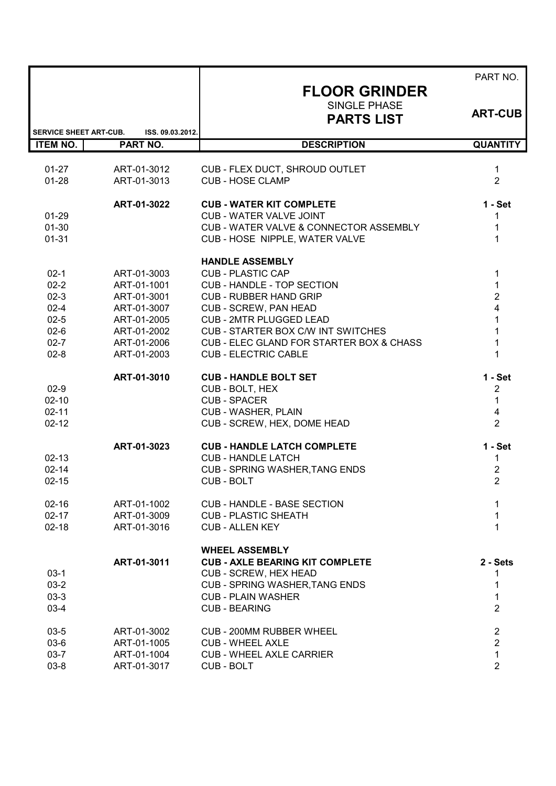|                               |                            |                                                                    | PART NO.                                  |
|-------------------------------|----------------------------|--------------------------------------------------------------------|-------------------------------------------|
|                               |                            | <b>FLOOR GRINDER</b>                                               |                                           |
|                               |                            | SINGLE PHASE<br><b>PARTS LIST</b>                                  | <b>ART-CUB</b>                            |
| <b>SERVICE SHEET ART-CUB.</b> | ISS. 09.03.2012.           |                                                                    |                                           |
| <b>ITEM NO.</b>               | <b>PART NO.</b>            | <b>DESCRIPTION</b>                                                 | <b>QUANTITY</b>                           |
| $01 - 27$                     | ART-01-3012                | CUB - FLEX DUCT, SHROUD OUTLET                                     | $\mathbf{1}$                              |
| $01 - 28$                     | ART-01-3013                | <b>CUB - HOSE CLAMP</b>                                            | $\overline{2}$                            |
|                               | ART-01-3022                | <b>CUB - WATER KIT COMPLETE</b>                                    | $1 - Set$                                 |
| $01 - 29$                     |                            | <b>CUB - WATER VALVE JOINT</b>                                     | 1                                         |
| $01 - 30$                     |                            | CUB - WATER VALVE & CONNECTOR ASSEMBLY                             | 1                                         |
| $01 - 31$                     |                            | CUB - HOSE NIPPLE, WATER VALVE                                     | $\mathbf{1}$                              |
|                               |                            | <b>HANDLE ASSEMBLY</b>                                             |                                           |
| $02-1$                        | ART-01-3003                | <b>CUB - PLASTIC CAP</b>                                           | 1                                         |
| $02 - 2$<br>$02-3$            | ART-01-1001<br>ART-01-3001 | <b>CUB - HANDLE - TOP SECTION</b><br><b>CUB - RUBBER HAND GRIP</b> | $\mathbf{1}$<br>$\overline{2}$            |
| $02 - 4$                      | ART-01-3007                | <b>CUB - SCREW, PAN HEAD</b>                                       | $\overline{\mathbf{4}}$                   |
| $02 - 5$                      | ART-01-2005                | <b>CUB - 2MTR PLUGGED LEAD</b>                                     | $\mathbf{1}$                              |
| $02-6$                        | ART-01-2002                | CUB - STARTER BOX C/W INT SWITCHES                                 | $\overline{1}$                            |
| $02 - 7$                      | ART-01-2006                | CUB - ELEC GLAND FOR STARTER BOX & CHASS                           | $\mathbf{1}$                              |
| $02-8$                        | ART-01-2003                | <b>CUB - ELECTRIC CABLE</b>                                        | $\mathbf 1$                               |
|                               | ART-01-3010                | <b>CUB - HANDLE BOLT SET</b>                                       | $1 - Set$                                 |
| $02-9$                        |                            | CUB - BOLT, HEX                                                    | 2                                         |
| $02 - 10$                     |                            | <b>CUB - SPACER</b>                                                | $\mathbf 1$                               |
| $02 - 11$                     |                            | <b>CUB - WASHER, PLAIN</b>                                         | $\overline{\mathbf{4}}$<br>$\overline{2}$ |
| $02 - 12$                     |                            | CUB - SCREW, HEX, DOME HEAD                                        |                                           |
|                               | ART-01-3023                | <b>CUB - HANDLE LATCH COMPLETE</b>                                 | $1 - Set$                                 |
| $02 - 13$<br>$02 - 14$        |                            | <b>CUB - HANDLE LATCH</b>                                          | 1                                         |
| $02 - 15$                     |                            | <b>CUB - SPRING WASHER, TANG ENDS</b><br><b>CUB-BOLT</b>           | $\overline{2}$<br>$\overline{2}$          |
|                               |                            |                                                                    |                                           |
| $02 - 16$                     | ART-01-1002                | <b>CUB - HANDLE - BASE SECTION</b>                                 | 1                                         |
| $02 - 17$                     | ART-01-3009                | <b>CUB - PLASTIC SHEATH</b>                                        | 1                                         |
| $02 - 18$                     | ART-01-3016                | <b>CUB - ALLEN KEY</b>                                             | 1                                         |
|                               |                            | <b>WHEEL ASSEMBLY</b>                                              |                                           |
|                               | ART-01-3011                | <b>CUB - AXLE BEARING KIT COMPLETE</b>                             | 2 - Sets                                  |
| $03-1$<br>$03-2$              |                            | CUB - SCREW, HEX HEAD<br><b>CUB - SPRING WASHER, TANG ENDS</b>     | 1<br>1                                    |
| $03-3$                        |                            | <b>CUB - PLAIN WASHER</b>                                          | 1                                         |
| $03-4$                        |                            | <b>CUB - BEARING</b>                                               | $\overline{2}$                            |
| $03 - 5$                      | ART-01-3002                | <b>CUB - 200MM RUBBER WHEEL</b>                                    | $\sqrt{2}$                                |
| $03-6$                        | ART-01-1005                | <b>CUB - WHEEL AXLE</b>                                            | $\overline{2}$                            |
| $03 - 7$                      | ART-01-1004                | <b>CUB - WHEEL AXLE CARRIER</b>                                    | $\mathbf{1}$                              |
| $03 - 8$                      | ART-01-3017                | <b>CUB-BOLT</b>                                                    | $\overline{2}$                            |